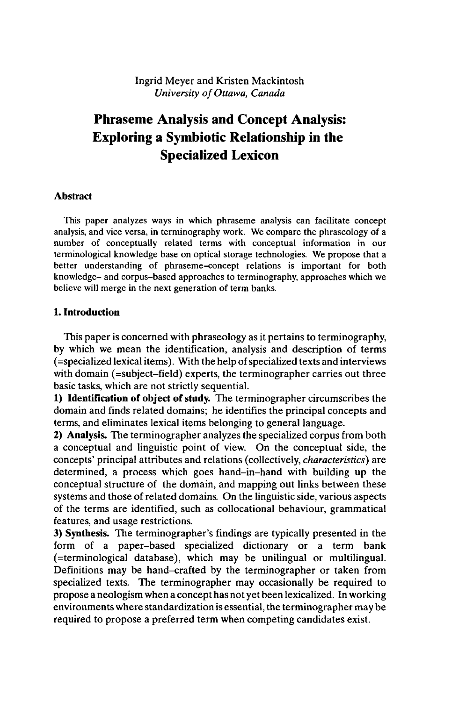## Ingrid Meyer and Kristen Mackintosh *University of Ottawa, Canada*

# **Phraseme Analysis and Concept Analysis: Exploring a Symbiotic Relationship in the Specialized Lexicon**

#### **Abstract**

This paper analyzes ways in which phraseme analysis can facilitate concept analysis, and vice versa, in terminography work. We compare the phraseology of a number of conceptually related terms with conceptual information in our terminological knowledge base on optical storage technologies. We propose that a better understanding of phraseme-concept relations is important for both knowledge- and corpus-based approaches to terminography, approaches which we believe will merge in the next generation of term banks.

### **1. Introduction**

This paper is concerned with phraseology as it pertains to terminography, by which we mean the identification, analysis and description of terms (=specialized lexicalitems). With the help ofspecialized texts and interviews with domain (=subject-field) experts, the terminographer carries out three basic tasks, which are not strictly sequential.

**1) Identification** of object of study. The terminographer circumscribes the domain and finds related domains; he identifies the principal concepts and terms, and eliminates lexical items belonging to general language.

**2) Analysis.** The terminographer analyzes the specialized corpus from both a conceptual and linguistic point of view. On the conceptual side, the concepts' principal attributes and relations (collectively, *characteristics)* are determined, a process which goes hand-in-hand with building up the conceptual structure of the domain, and mapping out links between these systems and those of related domains. On the linguistic side, various aspects of the terms are identified, such as collocational behaviour, grammatical features, and usage restrictions.

**3) Synthesis.** The terminographer's findings are typically presented in the form of a paper-based specialized dictionary or a term bank (=terminological database), which may be unilingual or multilingual. Definitions may be hand-crafted by the terminographer or taken from specialized texts. The terminographer may occasionally be required to propose a neologism when a concept has not yet been lexicalized. In working environments where standardization is essential, the terminographer may be required to propose a preferred term when competing candidates exist.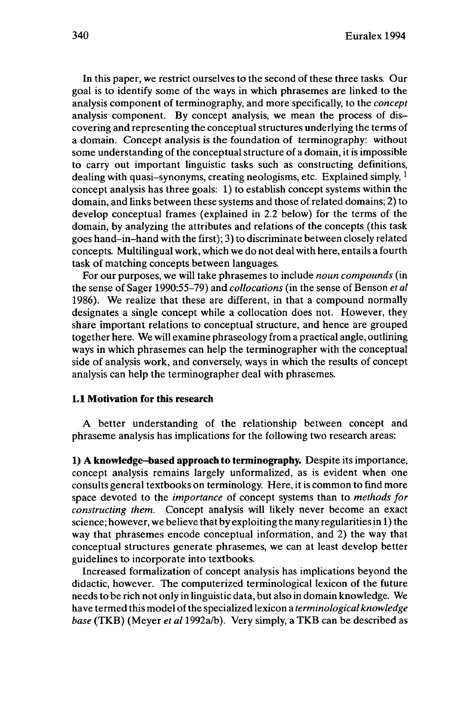In this paper, we restrict ourselves to the second of these three tasks. Our goal is to identify some of the ways in which phrasemes are linked to the analysis component of terminography, and more specifically, to the *concept* analysis component. By concept analysis, we mean the process of discovering and representing the conceptual structures underlying the terms of a domain. Concept analysis is the foundation of terminography: without some understanding of the conceptual structure of a domain, it is impossible to carry out important linguistic tasks such as constructing definitions, dealing with quasi-synonyms, creating neologisms, etc. Explained simply,  $1$ concept analysis has three goals: 1) to establish concept systems within the domain, and links between these systems and those of related domains; 2) to develop conceptual frames (explained in 2.2 below) for the terms of the domain, by analyzing the attributes and relations of the concepts (this task goes hand-in-hand with the first); 3) to discriminate between closely related concepts. Multilingual work, which we do not deal with here, entails a fourth task of matching concepts between languages.

For our purposes, we will take phrasemes to include *noun compounds* (in the sense of Sager 1990:55-79) and *collocations* (in the sense of Benson *et al* 1986). We realize that these are different, in that a compound normally designates a single concept while a collocation does not. However, they share important relations to conceptual structure, and hence are grouped together here. We will examine phraseology from a practical angle, outlining ways in which phrasemes can help the terminographer with the conceptual side of analysis work, and conversely, ways in which the results of concept analysis can help the terminographer deal with phrasemes.

## **1.1 Motivation for this research**

A better understanding of the relationship between concept and phraseme analysis has implications for the following two research areas:

**1) A knowledge-based approachto terminography.** Despite its importance, concept analysis remains largely unformalized, as is evident when one consults general textbooks on terminology. Here, it is common to find more space devoted to the *importance* of concept systems than to *methods for constructing them.* Concept analysis will likely never become an exact science; however, we believe that by exploiting the many regularitiesin 1) the way that phrasemes encode conceptual information, and 2) the way that conceptual structures generate phrasemes, we can at least develop better guidelines to incorporate into textbooks.

Increased formalization of concept analysis has implications beyond the didactic, however. The computerized terminological lexicon of the future needs to be rich not only in linguistic data, but also in domain knowledge. We have termed this model ofthe specialized lexicon a *terminological knowledge base* (TKB) (Meyer *et al* 1992a/b). Very simply, a TKB can be described as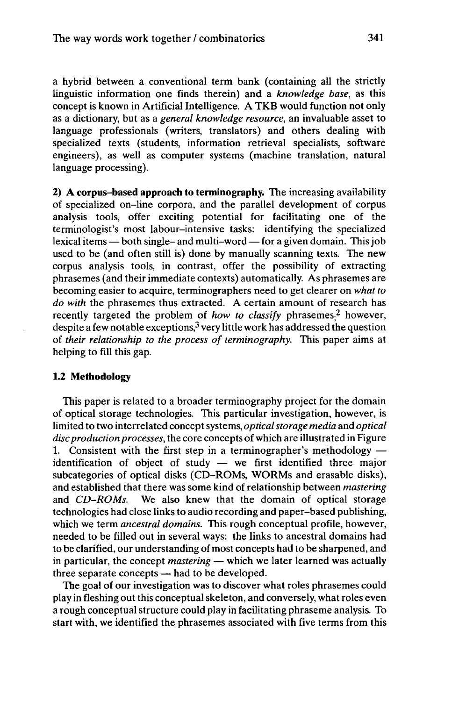a hybrid between a conventional term bank (containing all the strictly linguistic information one finds therein) and a *knowledge base,* as this concept is known in Artificial Intelligence. A TKB would function not only as a dictionary, but as a *general knowledge resource,* an invaluable asset to language professionals (writers, translators) and others dealing with specialized texts (students, information retrieval specialists, software engineers), as well as computer systems (machine translation, natural language processing).

**2) A corpus-based approach to terminography.** The increasing availability of specialized on-line corpora, and the parallel development of corpus analysis tools, offer exciting potential for facilitating one of the terminologist's most labour-intensive tasks: identifying the specialized<br>lexical items — both single- and multi-word — for a given domain. This job used to be (and often still is) done by manually scanning texts. The new corpus analysis tools, in contrast, offer the possibility of extracting phrasemes (and their immediate contexts) automatically. As phrasemes are becoming easier to acquire, terminographers need to get clearer on *what to do with* the phrasemes thus extracted. A certain amount of research has recently targeted the problem of *how to classify* phrasemes; 2 however, despite a few notable exceptions, $3$  very little work has addressed the question of *their relationship to the process of terminography.* This paper aims at helping to fill this gap.

#### **1.2 Methodology**

This paper is related to a broader terminography project for the domain of optical storage technologies. This particular investigation, however, is limited to two interrelated conceptsystems, *opticalstorage media* and *optical* disc production processes, the core concepts of which are illustrated in Figure 1.<br>1. Consistent with the first step in a terminographer's methodology — 1. Consistent with the first step in a terminographer's methodology  $-i$  dentification of object of study  $-$  we first identified three major subcategories of optical disks (CD-ROMs, WORMs and erasable disks), and established that there was some kind of relationship between *mastering* and *CD-ROMs.* We also knew that the domain of optical storage technologies had close links to audio recording and paper-based publishing, which we term *ancestral domains.* This rough conceptual profile, however, needed to be filled out in several ways: the links to ancestral domains had to be clarified, our understanding of most concepts had to be sharpened, and to be clarified, our understanding of most concepts had to be sharpened, and<br>in particular, the concept *mastering* — which we later learned was actually in particular, the concept *mastering* – which we<br>three separate concepts – had to be developed.

The goal of our investigation was to discover what roles phrasemes could play in fleshing out this conceptual skeleton, and conversely, what roles even a rough conceptual structure could play in facilitating phraseme analysis. To start with, we identified the phrasemes associated with five terms from this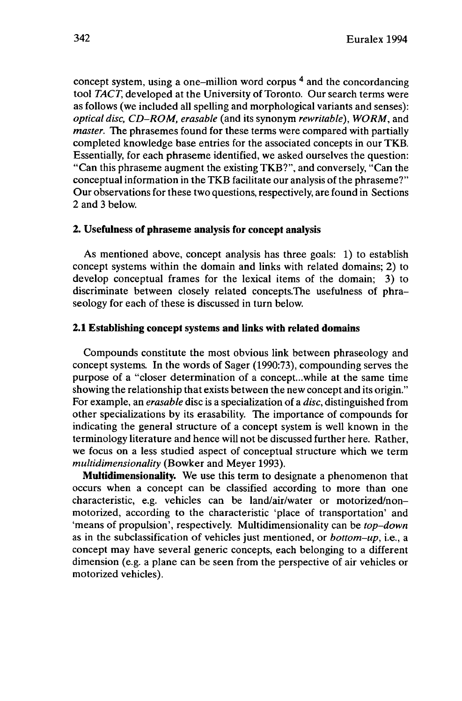concept system, using a one–million word corpus <sup>4</sup> and the concordancing tool *TACT,* developed at the University of Toronto. Our search terms were as follows (we included all spelling and morphological variants and senses): *optical disc, CD-ROM, erasable* (and its synonym *rewritable), WORM,* and *master.* The phrasemes found for these terms were compared with partially completed knowledge base entries for the associated concepts in our TKB. Essentially, for each phraseme identified, we asked ourselves the question: "Can this phraseme augment the existing TKB?", and conversely, "Can the conceptual information in the TKB facilitate our analysis of the phraseme?" Our observations for these two questions, respectively, are found in Sections 2 and 3 below.

### **2. Usefulness of phraseme analysis for concept analysis**

As mentioned above, concept analysis has three goals: 1) to establish concept systems within the domain and links with related domains; 2) to develop conceptual frames for the lexical items of the domain; 3) to discriminate between closely related concepts.The usefulness of phraseology for each of these is discussed in turn below.

### **2.1 Establishing concept systems and links with related domains**

Compounds constitute the most obvious link between phraseology and concept systems. In the words of Sager (1990:73), compounding serves the purpose of a "closer determination of a concept...while at the same time showing the relationship that exists between the new concept and its origin." For example, an *erasable* disc is a specialization of a *disc,* distinguished from other specializations by its erasability. The importance of compounds for indicating the general structure of a concept system is well known in the terminology literature and hence will not be discussed further here. Rather, we focus on a less studied aspect of conceptual structure which we term *multidimensionality* (Bowker and Meyer 1993).

**Multidimensionality.** We use this term to designate a phenomenon that occurs when a concept can be classified according to more than one characteristic, e.g. vehicles can be land/air/water or motorized/nonmotorized, according to the characteristic 'place of transportation' and 'means of propulsion', respectively. Multidimensionality can be *top-down* as in the subclassification of vehicles just mentioned, or *bottom-up,* i.e., a concept may have several generic concepts, each belonging to a different dimension (e.g. a plane can be seen from the perspective of air vehicles or motorized vehicles).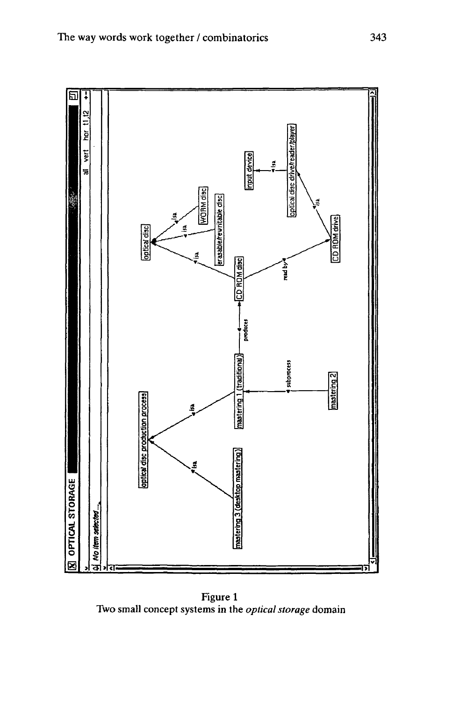

Figure <sup>1</sup> Two small concept systems in the *optical storage* domain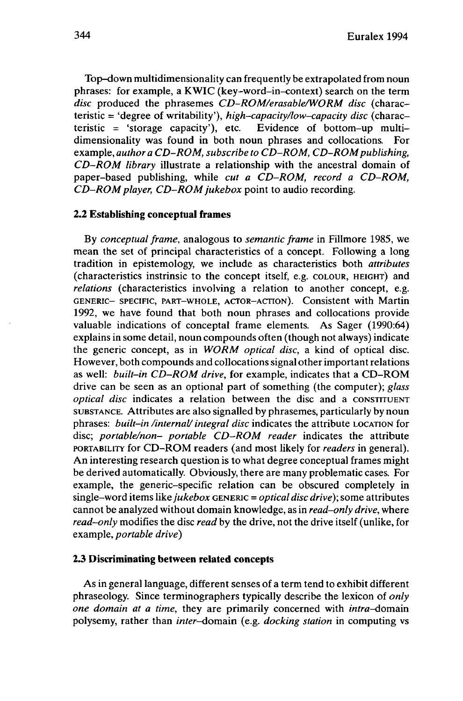Top-down multidimensionality can frequently be extrapolated from noun phrases: for example, a KWIC (key-word-in-context) search on the term *disc* produced the phrasemes *CD-ROM/erasable/WORM disc* (characteristic = 'degree of writability'), *high-capacity/low-capacity disc* (characteristic  $=$  'storage capacity'), etc. Evidence of bottom-up multidimensionality was found in both noun phrases and collocations. For example, *authora CD-ROM, subscribe to CD-ROM, CD-ROMpublishing, CD-ROM library* illustrate a relationship with the ancestral domain of paper-based publishing, while *cut a CD-ROM, record a CD-ROM, CD-ROM player, CD-ROMjukebox* point to audio recording.

### **2.2 Establishing conceptual frames**

By *conceptual frame,* analogous to *semantic frame* in Fillmore 1985, we mean the set of principal characteristics of a concept. Following a long tradition in epistemology, we include as characteristics both *attributes* (characteristics instrinsic to the concept itself, e.g. COLOUR, HEIGHT) and *relations* (characteristics involving a relation to another concept, e.g. GENERIC- SPECIFIC, PART-WHOLE, ACTOR-ACTION). Consistent with Martin 1992, we have found that both noun phrases and collocations provide valuable indications of conceptal frame elements. As Sager (1990:64) explains in some detail, noun compounds often (though not always) indicate the generic concept, as in *WORM optical disc,* a kind of optical disc. However, both compounds and collocations signal other important relations as well: *built-in CD-ROM drive,* for example, indicates that a CD-ROM drive can be seen as an optional part of something (the computer); *glass optical disc* indicates a relation between the disc and a CONSTITUENT SUBSTANCE. Attributes are also signalled by phrasemes, particularly by noun phrases: *built-in /internal/integral disc* indicates the attribute LOCATION for disc; *portable/non- portable CD•ROM reader* indicates the attribute PORTABILITY for CD-ROM readers (and most likely *tor readers* in general). An interesting research question is to what degree conceptual frames might be derived automatically. Obviously, there are many problematic cases. For example, the generic-specific relation can be obscured completely in single-word items *like jukebox* GENERIC = *optical disc drive);* some attributes cannot be analyzed without domain knowledge, as in *read-only drive,* where *read-only* modifies the disc *read* by the drive, not the drive itself (unlike, for example, *portable drive)*

#### **2.3 Discriminating between related concepts**

As in general language, different senses of a term tend to exhibit different phraseology. Since terminographers typically describe the lexicon of *only one domain at a time*, *they* are primarily concerned with *intra*-domain polysemy, rather than *inter*-domain (e.g. *docking station* in computing vs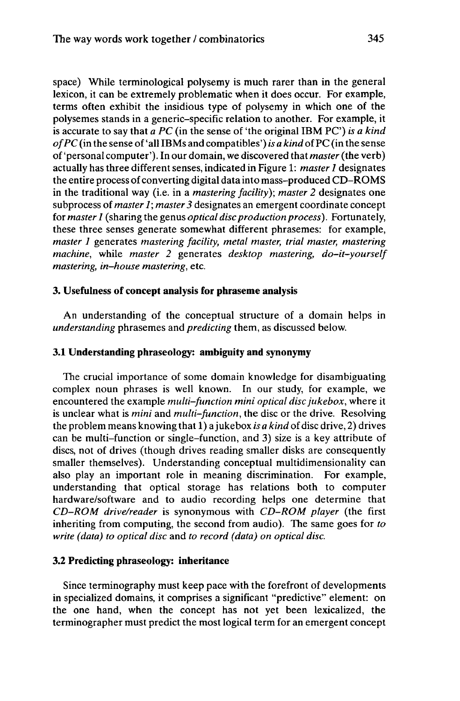space) While terminological polysemy is much rarer than in the general lexicon, it can be extremely problematic when it does occur. For example, terms often exhibit the insidious type of polysemy in which one of the polysemes stands in a generic-specific relation to another. For example, it is accurate to say that *a PC* (in the sense of 'the original IBM PC) *is a kind*  $of PC$  (in the sense of 'all IBMs and compatibles') *is a kind* of PC (in the sense of'personal computer'). In our domain, we discovered that *master*(the verb) actually has three different senses, indicated in Figure 1: *master <sup>1</sup>* designates the entire process of converting digital data into mass-produced CD-ROMS in the traditional way (i.e. in a *mastering facility); master 2* designates one subprocess of *master 1; master 3* designates an emergent coordinate concept for *master 1* (sharing the genus *optical discproduction process).* Fortunately, these three senses generate somewhat different phrasemes: for example, *master 1* generates *mastering facility, metal master, trial master, mastering machine,* while *master 2* generates *desktop mastering, do-it-yourself mastering, in-house mastering,* etc.

#### **3. Usefulness of concept analysis for phraseme analysis**

An understanding of the conceptual structure of a domain helps in *understanding* phrasemes and *predicting* them, as discussed below.

### **3.1 Understanding phraseology: ambiguity and synonymy**

The crucial importance of some domain knowledge for disambiguating complex noun phrases is well known. In our study, for example, we encountered the example *multi-function mini optical disc jukebox,* where it is unclear what is *mini* and *multi-function,* the disc or the drive. Resolving the problem means knowing that 1) a jukebox *is a kind* of disc drive, 2) drives can be multi-function or single-function, and 3) size is a key attribute of discs, not of drives (though drives reading smaller disks are consequently smaller themselves). Understanding conceptual multidimensionality can also play an important role in meaning discrimination. For example, understanding that optical storage has relations both to computer hardware/software and to audio recording helps one determine that *CD-ROM drive/reader* is synonymous with *CD-ROM player* (the first inheriting from computing, the second from audio). The same goes for *to write (data) to optical disc* and *to record (data) on optical disc.*

#### **3.2 Predicting phraseology: inheritance**

Since terminography must keep pace with the forefront of developments in specialized domains, it comprises a significant "predictive" element: on the one hand, when the concept has not yet been lexicalized, the terminographer must predict the most logical term for an emergent concept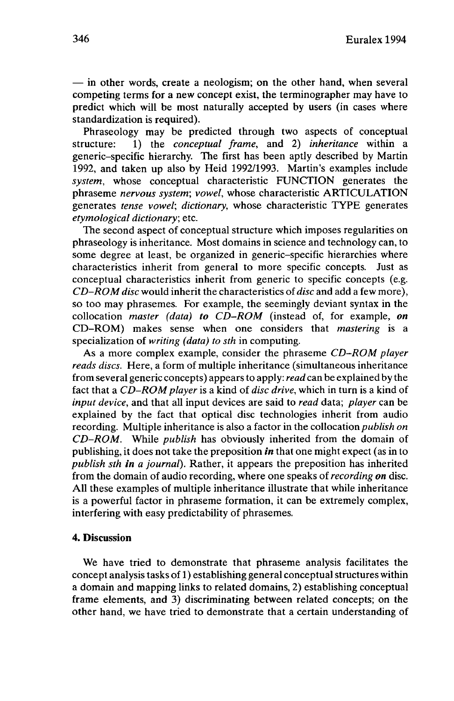$-$  in other words, create a neologism; on the other hand, when several competing terms for a new concept exist, the terminographer may have to predict which will be most naturally accepted by users (in cases where standardization is required).

Phraseology may be predicted through two aspects of conceptual structure: 1) the *conceptual frame,* and 2) *inheritance* within a generic-specific hierarchy. The first has been aptly described by Martin 1992, and taken up also by Heid 1992/1993. Martin's examples include *system,* whose conceptual characteristic FUNCTION generates the phraseme *nervous system; vowel,* whose characteristic ARTICULATION generates *tense vowel; dictionary,* whose characteristic TYPE generates *etymological dictionary;* etc.

The second aspect of conceptual structure which imposes regularities on phraseology is inheritance. Most domains in science and technology can, to some degree at least, be organized in generic-specific hierarchies where characteristics inherit from general to more specific concepts. Just as conceptual characteristics inherit from generic to specific concepts (e.g. *CD-ROM disc* would inherit the characteristics of *disc* and add a few more), so too may phrasemes. For example, the seemingly deviant syntax in the collocation *master (data) to CD-ROM* (instead of, for example, *on* CD-ROM) makes sense when one considers that *mastering* is a specialization of *writing (data) to sth* in computing.

As a more complex example, consider the phraseme *CD-ROM player reads discs.* Here, a form of multiple inheritance (simultaneous inheritance fromseveral generic concepts) appearsto apply: *read* can be explained by the fact that a *CD-ROM player* is a kind of *disc drive,* which in turn is a kind of *input device,* and that all input devices are said to *read* data; *player* can be explained by the fact that optical disc technologies inherit from audio recording. Multiple inheritance is also a factor in the collocation *publish on CD-ROM.* While *publish* has obviously inherited from the domain of publishing, it does not take the preposition *in* that one might expect (as in to *publish sth in a journal).* Rather, it appears the preposition has inherited from the domain of audio recording, where one speaks of *recording on* disc. All these examples of multiple inheritance illustrate that while inheritance is a powerful factor in phraseme formation, it can be extremely complex, interfering with easy predictability of phrasemes.

#### **4. Discussion**

We have tried to demonstrate that phraseme analysis facilitates the concept analysis tasks of 1) establishing general conceptual structures within a domain and mapping links to related domains, 2) establishing conceptual frame elements, and 3) discriminating between related concepts; on the other hand, we have tried to demonstrate that a certain understanding of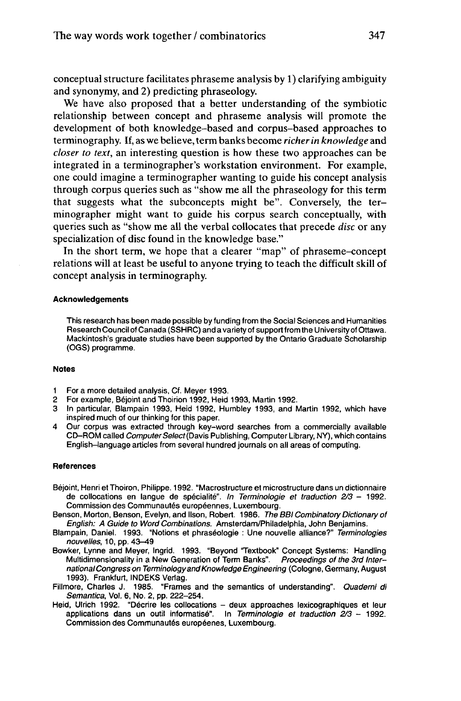conceptual structure facilitates phraseme analysis by 1) clarifying ambiguity and synonymy, and 2) predicting phraseology.

We have also proposed that a better understanding of the symbiotic relationship between concept and phraseme analysis will promote the development of both knowledge-based and corpus-based approaches to terminography. If, as we believe, term banks become *richerin knowledge* and *closer to text,* an interesting question is how these two approaches can be integrated in a terminographer's workstation environment. For example, one could imagine a terminographer wanting to guide his concept analysis through corpus queries such as "show me all the phraseology for this term that suggests what the subconcepts might be". Conversely, the terminographer might want to guide his corpus search conceptually, with queries such as "show me all the verbal collocates that precede *disc* or any specialization of disc found in the knowledge base."

In the short term, we hope that a clearer "map" of phraseme-concept relations will at least be useful to anyone trying to teach the difficult skill of concept analysis in terminography.

#### **Acknowledgements**

This research has been made possible by funding from the Social Sciences and Humanities Research Council of Canada (SSHRC) and a variety of support from the University of Ottawa. Mackintosh's graduate studies have been supported by the Ontario Graduate Scholarship (OGS) programme.

#### **Notes**

- <sup>1</sup> For a more detailed analysis, Cf. Meyer 1993.
- 2 For example, Béjoint and Thoirion 1992, Heid 1993, Martin 1992.
- 3 In particular, Blampain 1993, Heid 1992, Humbley 1993, and Martin 1992, which have inspired much of our thinking for this paper.
- 4 Our corpus was extracted through key-word searches from a commercially available CD-ROM called Computer Select (Davis Publishing, Computer Library, NY), which contains English-language articles from several hundred journals on all areas of computing.

#### **References**

- Béjoint, Henri et Thoiron, Philippe. 1992. "Macrostructure et microstructure dans un dictionnaire de collocations en langue de spécialité". In Terminologie et traduction  $2/3$  - 1992. Commission des Communautés européennes, Luxembourg.
- Benson, Morton, Benson, Evelyn, and llson, Robert. 1986. The BBI Combinatory Dictionary of English: A Guide to Word Combinations. Amsterdam/Philadelphia, John Benjamins.
- Blampain, Daniel. 1993. "Notions et phraséologie : Une nouvelle alliance?" Terminologies nouvelles, 10, pp. 43-49
- Bowker, Lynne and Meyer, Ingrid. 1993. "Beyond Textbook" Concept Systems: Handling Multidimensionality in a New Generation of Term Banks". Proceedings of the 3rd InternationalCongress on TerminologyandKnowledge Engineering (Cologne, Germany, August 1993). Frankfurt, INDEKS Verlag.
- Fillmore, Charles J. 1985. "Frames and the semantics of understanding". Quaderni di Semantica, Vol. 6, No. 2, pp. 222-254.
- Heid, Ulrich 1992. "Décrire les collocations deux approaches lexicographiques et leur applications dans un outil informatisé". In Terminologie et traduction  $2/3$  - 1992. Commission des Communautés européenes, Luxembourg.